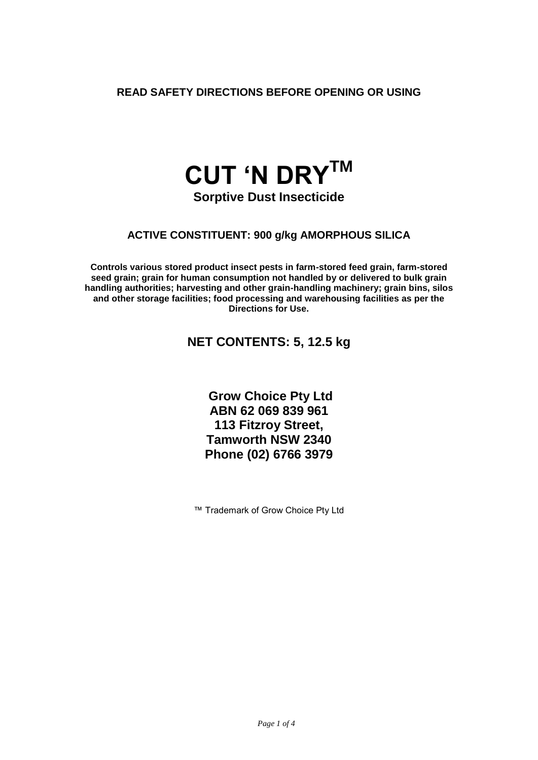**READ SAFETY DIRECTIONS BEFORE OPENING OR USING**

# **CUT 'N DRYTM**

**Sorptive Dust Insecticide**

## **ACTIVE CONSTITUENT: 900 g/kg AMORPHOUS SILICA**

**Controls various stored product insect pests in farm-stored feed grain, farm-stored seed grain; grain for human consumption not handled by or delivered to bulk grain handling authorities; harvesting and other grain-handling machinery; grain bins, silos and other storage facilities; food processing and warehousing facilities as per the Directions for Use.**

# **NET CONTENTS: 5, 12.5 kg**

**Grow Choice Pty Ltd ABN 62 069 839 961 113 Fitzroy Street, Tamworth NSW 2340 Phone (02) 6766 3979**

™ Trademark of Grow Choice Pty Ltd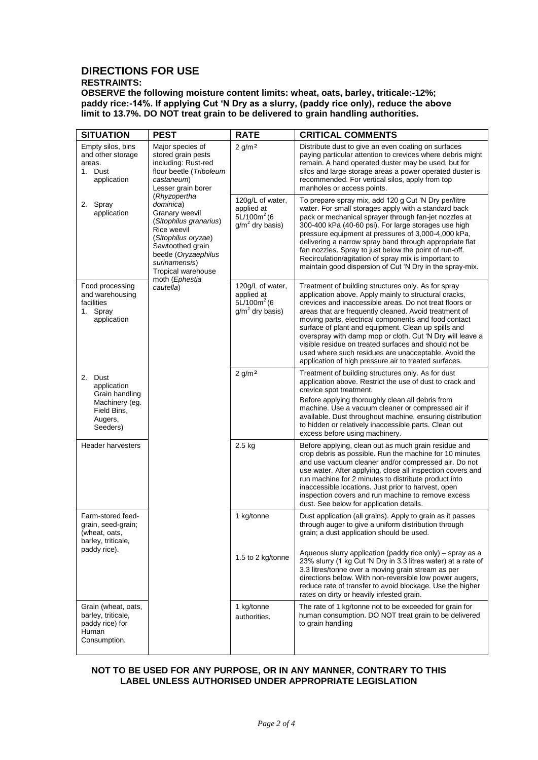# **DIRECTIONS FOR USE**

### **RESTRAINTS:**

**OBSERVE the following moisture content limits: wheat, oats, barley, triticale:-12%; paddy rice:-14%. If applying Cut 'N Dry as a slurry, (paddy rice only), reduce the above limit to 13.7%. DO NOT treat grain to be delivered to grain handling authorities.**

| <b>SITUATION</b>                                                                                      | <b>PEST</b>                                                                                                                                                                                                                                                                                                                                                   | <b>RATE</b>                                                           | <b>CRITICAL COMMENTS</b>                                                                                                                                                                                                                                                                                                                                                                                                                                                                                                                                                               |
|-------------------------------------------------------------------------------------------------------|---------------------------------------------------------------------------------------------------------------------------------------------------------------------------------------------------------------------------------------------------------------------------------------------------------------------------------------------------------------|-----------------------------------------------------------------------|----------------------------------------------------------------------------------------------------------------------------------------------------------------------------------------------------------------------------------------------------------------------------------------------------------------------------------------------------------------------------------------------------------------------------------------------------------------------------------------------------------------------------------------------------------------------------------------|
| Empty silos, bins<br>and other storage<br>areas.<br>1. Dust<br>application<br>2. Spray<br>application | Major species of<br>stored grain pests<br>including: Rust-red<br>flour beetle (Triboleum<br>castaneum)<br>Lesser grain borer<br>(Rhyzopertha<br>dominica)<br>Granary weevil<br>(Sitophilus granarius)<br>Rice weevil<br>(Sitophilus oryzae)<br>Sawtoothed grain<br>beetle (Oryzaephilus<br>surinamensis)<br>Tropical warehouse<br>moth (Ephestia<br>cautella) | $2$ g/m <sup>2</sup>                                                  | Distribute dust to give an even coating on surfaces<br>paying particular attention to crevices where debris might<br>remain. A hand operated duster may be used, but for<br>silos and large storage areas a power operated duster is<br>recommended. For vertical silos, apply from top<br>manholes or access points.                                                                                                                                                                                                                                                                  |
|                                                                                                       |                                                                                                                                                                                                                                                                                                                                                               | 120g/L of water,<br>applied at<br>$5L/100m^2$ (6<br>$g/m2$ dry basis) | To prepare spray mix, add 120 g Cut 'N Dry per/litre<br>water. For small storages apply with a standard back<br>pack or mechanical sprayer through fan-jet nozzles at<br>300-400 kPa (40-60 psi). For large storages use high<br>pressure equipment at pressures of 3,000-4,000 kPa,<br>delivering a narrow spray band through appropriate flat<br>fan nozzles. Spray to just below the point of run-off.<br>Recirculation/agitation of spray mix is important to<br>maintain good dispersion of Cut 'N Dry in the spray-mix.                                                          |
| Food processing<br>and warehousing<br>facilities<br>1. Spray<br>application                           |                                                                                                                                                                                                                                                                                                                                                               | 120g/L of water,<br>applied at<br>$5L/100m^2$ (6<br>$g/m2$ dry basis) | Treatment of building structures only. As for spray<br>application above. Apply mainly to structural cracks,<br>crevices and inaccessible areas. Do not treat floors or<br>areas that are frequently cleaned. Avoid treatment of<br>moving parts, electrical components and food contact<br>surface of plant and equipment. Clean up spills and<br>overspray with damp mop or cloth. Cut 'N Dry will leave a<br>visible residue on treated surfaces and should not be<br>used where such residues are unacceptable. Avoid the<br>application of high pressure air to treated surfaces. |
| 2. Dust<br>application<br>Grain handling<br>Machinery (eg.<br>Field Bins,<br>Augers,<br>Seeders)      |                                                                                                                                                                                                                                                                                                                                                               | $2$ g/m <sup>2</sup>                                                  | Treatment of building structures only. As for dust<br>application above. Restrict the use of dust to crack and<br>crevice spot treatment.<br>Before applying thoroughly clean all debris from<br>machine. Use a vacuum cleaner or compressed air if<br>available. Dust throughout machine, ensuring distribution<br>to hidden or relatively inaccessible parts. Clean out<br>excess before using machinery.                                                                                                                                                                            |
| <b>Header harvesters</b>                                                                              |                                                                                                                                                                                                                                                                                                                                                               | $2.5$ kg                                                              | Before applying, clean out as much grain residue and<br>crop debris as possible. Run the machine for 10 minutes<br>and use vacuum cleaner and/or compressed air. Do not<br>use water. After applying, close all inspection covers and<br>run machine for 2 minutes to distribute product into<br>inaccessible locations. Just prior to harvest, open<br>inspection covers and run machine to remove excess<br>dust. See below for application details.                                                                                                                                 |
| Farm-stored feed-<br>grain, seed-grain;<br>(wheat, oats,<br>barley, triticale,<br>paddy rice).        |                                                                                                                                                                                                                                                                                                                                                               | 1 kg/tonne<br>1.5 to 2 kg/tonne                                       | Dust application (all grains). Apply to grain as it passes<br>through auger to give a uniform distribution through<br>grain; a dust application should be used.<br>Aqueous slurry application (paddy rice only) – spray as a<br>23% slurry (1 kg Cut 'N Dry in 3.3 litres water) at a rate of<br>3.3 litres/tonne over a moving grain stream as per<br>directions below. With non-reversible low power augers,<br>reduce rate of transfer to avoid blockage. Use the higher<br>rates on dirty or heavily infested grain.                                                               |
| Grain (wheat, oats,<br>barley, triticale,<br>paddy rice) for<br>Human<br>Consumption.                 |                                                                                                                                                                                                                                                                                                                                                               | 1 kg/tonne<br>authorities.                                            | The rate of 1 kg/tonne not to be exceeded for grain for<br>human consumption. DO NOT treat grain to be delivered<br>to grain handling                                                                                                                                                                                                                                                                                                                                                                                                                                                  |

#### **NOT TO BE USED FOR ANY PURPOSE, OR IN ANY MANNER, CONTRARY TO THIS LABEL UNLESS AUTHORISED UNDER APPROPRIATE LEGISLATION**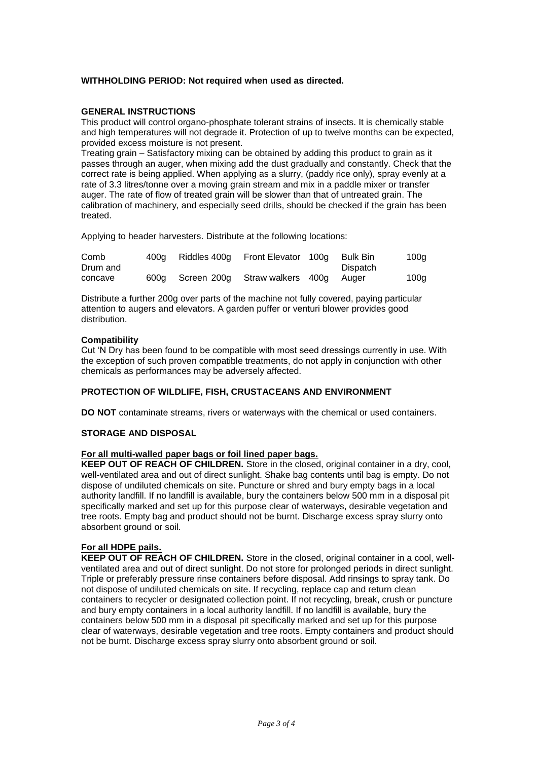#### **WITHHOLDING PERIOD: Not required when used as directed.**

#### **GENERAL INSTRUCTIONS**

This product will control organo-phosphate tolerant strains of insects. It is chemically stable and high temperatures will not degrade it. Protection of up to twelve months can be expected, provided excess moisture is not present.

Treating grain – Satisfactory mixing can be obtained by adding this product to grain as it passes through an auger, when mixing add the dust gradually and constantly. Check that the correct rate is being applied. When applying as a slurry, (paddy rice only), spray evenly at a rate of 3.3 litres/tonne over a moving grain stream and mix in a paddle mixer or transfer auger. The rate of flow of treated grain will be slower than that of untreated grain. The calibration of machinery, and especially seed drills, should be checked if the grain has been treated.

Applying to header harvesters. Distribute at the following locations:

| Comb<br>Drum and | 400a | Riddles 400a | Front Elevator 100g      | Bulk Bin<br>Dispatch | 100g |
|------------------|------|--------------|--------------------------|----------------------|------|
| concave          | 600a | Screen 200a  | Straw walkers 400g Auger |                      | 100g |

Distribute a further 200g over parts of the machine not fully covered, paying particular attention to augers and elevators. A garden puffer or venturi blower provides good distribution.

#### **Compatibility**

Cut 'N Dry has been found to be compatible with most seed dressings currently in use. With the exception of such proven compatible treatments, do not apply in conjunction with other chemicals as performances may be adversely affected.

#### **PROTECTION OF WILDLIFE, FISH, CRUSTACEANS AND ENVIRONMENT**

**DO NOT** contaminate streams, rivers or waterways with the chemical or used containers.

#### **STORAGE AND DISPOSAL**

#### **For all multi-walled paper bags or foil lined paper bags.**

**KEEP OUT OF REACH OF CHILDREN.** Store in the closed, original container in a dry, cool, well-ventilated area and out of direct sunlight. Shake bag contents until bag is empty. Do not dispose of undiluted chemicals on site. Puncture or shred and bury empty bags in a local authority landfill. If no landfill is available, bury the containers below 500 mm in a disposal pit specifically marked and set up for this purpose clear of waterways, desirable vegetation and tree roots. Empty bag and product should not be burnt. Discharge excess spray slurry onto absorbent ground or soil.

#### **For all HDPE pails.**

**KEEP OUT OF REACH OF CHILDREN.** Store in the closed, original container in a cool, wellventilated area and out of direct sunlight. Do not store for prolonged periods in direct sunlight. Triple or preferably pressure rinse containers before disposal. Add rinsings to spray tank. Do not dispose of undiluted chemicals on site. If recycling, replace cap and return clean containers to recycler or designated collection point. If not recycling, break, crush or puncture and bury empty containers in a local authority landfill. If no landfill is available, bury the containers below 500 mm in a disposal pit specifically marked and set up for this purpose clear of waterways, desirable vegetation and tree roots. Empty containers and product should not be burnt. Discharge excess spray slurry onto absorbent ground or soil.